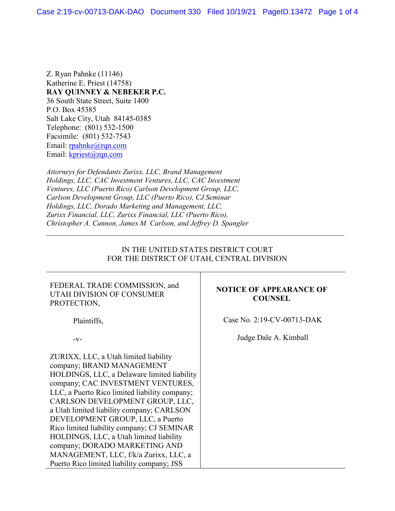Z. Ryan Pahnke (11146) Katherine E. Priest (14758) **RAY QUINNEY & NEBEKER P.C.** 36 South State Street, Suite 1400 P.O. Box 45385 Salt Lake City, Utah 84145-0385 Telephone: (801) 532-1500 Facsimile: (801) 532-7543 Email: [rpahnke@rqn.com](mailto:rpahnke@rqn.com) Email: [kpriest@rqn.com](mailto:kpriest@rqn.com)

*Attorneys for Defendants Zurixx, LLC, Brand Management Holdings, LLC, CAC Investment Ventures, LLC, CAC Investment Ventures, LLC (Puerto Rico) Carlson Development Group, LLC, Carlson Development Group, LLC (Puerto Rico), CJ Seminar Holdings, LLC, Dorado Marketing and Management, LLC, Zurixx Financial, LLC, Zurixx Financial, LLC (Puerto Rico), Christopher A. Cannon, James M. Carlson, and Jeffrey D. Spangler* 

## IN THE UNITED STATES DISTRICT COURT FOR THE DISTRICT OF UTAH, CENTRAL DIVISION

\_\_\_\_\_\_\_\_\_\_\_\_\_\_\_\_\_\_\_\_\_\_\_\_\_\_\_\_\_\_\_\_\_\_\_\_\_\_\_\_\_\_\_\_\_\_\_\_\_\_\_\_\_\_\_\_\_\_\_\_\_\_\_\_\_\_\_\_\_\_\_\_\_\_\_\_\_

| FEDERAL TRADE COMMISSION, and<br>UTAH DIVISION OF CONSUMER<br>PROTECTION,                                                                                                                                                                                                                                                                                                                                                                                                                                                                    | <b>NOTICE OF APPEARANCE OF</b><br><b>COUNSEL</b> |
|----------------------------------------------------------------------------------------------------------------------------------------------------------------------------------------------------------------------------------------------------------------------------------------------------------------------------------------------------------------------------------------------------------------------------------------------------------------------------------------------------------------------------------------------|--------------------------------------------------|
| Plaintiffs,                                                                                                                                                                                                                                                                                                                                                                                                                                                                                                                                  | Case No. 2:19-CV-00713-DAK                       |
| $-V-$                                                                                                                                                                                                                                                                                                                                                                                                                                                                                                                                        | Judge Dale A. Kimball                            |
| ZURIXX, LLC, a Utah limited liability<br>company; BRAND MANAGEMENT<br>HOLDINGS, LLC, a Delaware limited liability<br>company; CAC INVESTMENT VENTURES,<br>LLC, a Puerto Rico limited liability company;<br>CARLSON DEVELOPMENT GROUP, LLC,<br>a Utah limited liability company; CARLSON<br>DEVELOPMENT GROUP, LLC, a Puerto<br>Rico limited liability company; CJ SEMINAR<br>HOLDINGS, LLC, a Utah limited liability<br>company; DORADO MARKETING AND<br>MANAGEMENT, LLC, f/k/a Zurixx, LLC, a<br>Puerto Rico limited liability company; JSS |                                                  |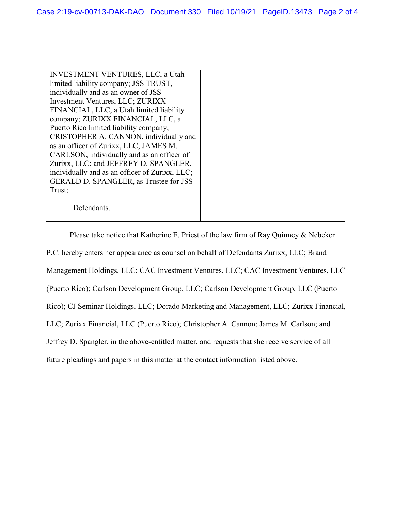INVESTMENT VENTURES, LLC, a Utah limited liability company; JSS TRUST, individually and as an owner of JSS Investment Ventures, LLC; ZURIXX FINANCIAL, LLC, a Utah limited liability company; ZURIXX FINANCIAL, LLC, a Puerto Rico limited liability company; CRISTOPHER A. CANNON, individually and as an officer of Zurixx, LLC; JAMES M. CARLSON, individually and as an officer of Zurixx, LLC; and JEFFREY D. SPANGLER, individually and as an officer of Zurixx, LLC; GERALD D. SPANGLER, as Trustee for JSS Trust;

Defendants.

Please take notice that Katherine E. Priest of the law firm of Ray Quinney & Nebeker P.C. hereby enters her appearance as counsel on behalf of Defendants Zurixx, LLC; Brand Management Holdings, LLC; CAC Investment Ventures, LLC; CAC Investment Ventures, LLC (Puerto Rico); Carlson Development Group, LLC; Carlson Development Group, LLC (Puerto Rico); CJ Seminar Holdings, LLC; Dorado Marketing and Management, LLC; Zurixx Financial, LLC; Zurixx Financial, LLC (Puerto Rico); Christopher A. Cannon; James M. Carlson; and Jeffrey D. Spangler, in the above-entitled matter, and requests that she receive service of all future pleadings and papers in this matter at the contact information listed above.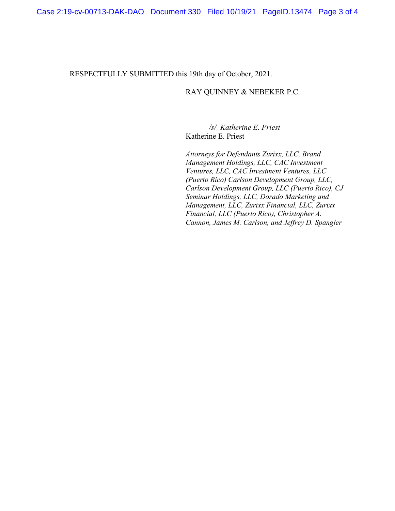RESPECTFULLY SUBMITTED this 19th day of October, 2021.

## RAY QUINNEY & NEBEKER P.C.

*/s/ Katherine E. Priest*

Katherine E. Priest

*Attorneys for Defendants Zurixx, LLC, Brand Management Holdings, LLC, CAC Investment Ventures, LLC, CAC Investment Ventures, LLC (Puerto Rico) Carlson Development Group, LLC, Carlson Development Group, LLC (Puerto Rico), CJ Seminar Holdings, LLC, Dorado Marketing and Management, LLC, Zurixx Financial, LLC, Zurixx Financial, LLC (Puerto Rico), Christopher A. Cannon, James M. Carlson, and Jeffrey D. Spangler*